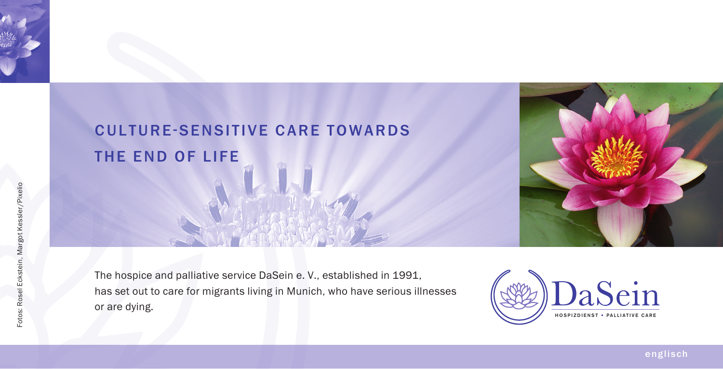



The hospice and palliative service DaSein e. V., established in 1991, has set out to care for migrants living in Munich, who have serious illnesses or are dying.



englisch